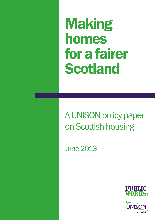Making homes for a fairer Scotland

A UNISON policy paper on Scottish housing

June 2013



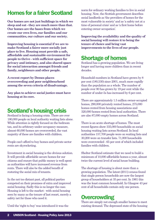# Homes for a fairer Scotland

**Our homes are not just buildings in which we sleep and eat - they are much more than that. Our homes are the bases from which we create our own lives, our families and our communities, our culture and our society.** 

**Improving housing is essential if we are to make Scotland a fairer more socially just place to live. Housing must provide a safe, affordable and sustainable environment for people to thrive - with sufficient space for privacy and intimacy, and also shared space for social interaction amongst friends and family, neighbours and other people.** 

**A recent report by Demos places overcrowding and poor neighbourhood among the seven criteria of disadvantage.** 

**Any plan to achieve social justice must have housing at its core.** 

# Scotland's housing crisis

Scotland is facing a housing crisis. There are over 180,000 people on local authority waiting lists alone. While attention is rightly focused on the bedroom tax, and its arbitrary under occupancy measure, almost 60,000 homes are overcrowded, the vast majority of these are families with children.

People can't afford to buy homes and private sector rents are skyrocketing.

Investment in social housing is the obvious solution. It will provide affordable secure homes for our citizens and ensure that public money is well spent as authorities will have increased revenue from rents. There will also be the added benefit of restoring the social mix of tenants.

In the not too distant past, all political parties competed on their promises of extra and improved social housing. Sadly this is no longer the case. Housing is left to the market - with social housing seen by many as the tenure of last resort, merely a safety net for those who need it.

Until the 'right to buy' was introduced it was the

norm for ordinary working families to live in social housing. Now, the Scottish government describes social landlords as 'the providers of homes for the most vulnerable in society' and as 'a safety net at a time of personal crisis' and as 'a first home before entering owner occupation'.

**Improving the availability and the quality of social housing will restore it to being the tenure of choice and bring vast improvements to the lives of our people.** 

# Shortage of homes

Scotland has a growing population. We are living longer and having more children than in recent decades.

Household numbers in Scotland have grown by 8 per cent (180,530) since 2001, much more rapidly than the population as a whole. The number of people over 80 has grown by 19 per cent while the number of under-5s has increased by 6 per cent.

There are approximately 1.5 million owner-occupied homes, 290,000 privately rented homes, 275,000 homes rented from housing associations and 320,000 homes rented from local authorities. There are also 87,000 empty homes across Scotland.

There is an acute shortage of homes. The most recent figures show 335,000 households on social housing waiting lists across Scotland. In local authorities 157,700 people were on waiting lists and 30,200 were on transfer lists. 71,000 households were overcrowded - 65 per cent of which included families with children.

Shelter Scotland estimate that we need to build a minimum of 10,000 affordable homes a year, almost twice the current level of social house building.

The shortage of housing is about more than a growing population. The latest (2011) census found that single person households are now the largest group of householders at 35 per cent. In 1961 this was the least common household. In Glasgow 43 per cent of all households contain only one person.

# **Overcrowding**

There are simply not enough smaller homes to meet existing demand. The depressed state of the housing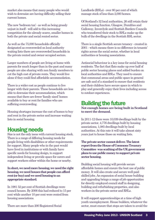market also means that many people who would wish to downsize are having difficulty selling their current homes.

The new 'bedroom tax' - as well as being grossly unjust in itself - will add to this increasing competition for the already scarce, smaller homes in both the private and social rented sector.

As well as the 75,000 households officially designated as overcrowded on local authority waiting lists there are overcrowded households in the private rented and owner occupied sectors.

Larger numbers of people are living at home with parents for much longer than in the past and many people are also sharing with non family members to cut the high cost of private rents. They would live alone if they could find affordable accommodation.

There is a wider cost as people continue to live longer with their parents. These households are less able to downsize their accommodation, which means that there are fewer 'family sized' homes available to buy or rent for families who are suffering overcrowding.

Housing shortages increase the cost of homes to buy and rent in the private sector and increase waiting lists in social housing.

## Housing needs

Size is not the only issue with current housing stock. There is a range of differing housing needs for people living with disabilities or other requirements for support. Many people who in the past would have lived in institutions or with family have specific needs for housing design, to support independent living or provide space for carers and support workers either within the home or nearby.

#### **In short, we need more housing, we need the right housing, we need houses that people can afford rent (or buy) and we need housing to an appropriate standard.**

In 1981 52 per cent of Scottish dwellings were council houses. By 2006 this had reduced to 15 per cent while another 10 per cent were rented from housing associations.

There are more than 200 Registered Social

Landlords (RSLs) - over 80 per cent of which manage stock of less than 2,000 homes.

Of Scotland's 32 local authorities, 26 still retain their social housing function. Glasgow, Dumfries and Galloway, Inverclyde and Scottish Borders Councils who transferred their stock to RSLs make up the bulk of the dwellings in the Scottish RSL sector.

There is a single Scottish secure tenancy - created in 2001 - which means there is no difference in tenants' rights across the social sector, whether in local authorities or housing associations.

Antisocial behaviour is a key issue for social housing residents. The fact that flats make up over half of public sector housing places and added burden on local authorities and RSLs. They need to ensure that communal areas and public space in general are safe and of a standard to ensure that residents and their children have secure space in which to play and generally enjoy their lives including access to outdoor experiences.

#### Building the future

**Not enough homes are being built in Scotland to meet the demand.** 

In 2011-12 there were 10,039 dwellings built by the private sector, 4,776 dwellings built by housing associations, 1,085 dwellings built by local authorities. At this rate it will take almost sixty years just to house those on waiting lists.

**The private sector cannot deliver. The latest report from the House of Commons Treasury Committee was scathing of the UK government plans to use public money to support private sector housing.** 

Building social housing will provide secure affordable homes and ensure the best use of public money. It will also create and secure well paid skilled jobs. An expansion of social house building and upgrading brings a range of job opportunities for directly employed council staff in designing, building and refurbishing properties, and also workers in the private sector and RSLs.

It will support apprenticeships at a time of high youth unemployment. House builders, whatever the sector, must ensure that steps are taken to avoid the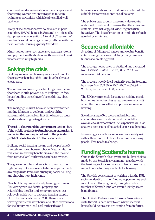continued gender segregation in the workplace and that young women are encouraged to take up training opportunities which lead to skilled wellpaid jobs.

Many of the homes that we do have are in poor condition. 298,000 homes in Scotland are affected by dampness or condensation. A total of 62 per cent of Scotland's social housing currently falls beneath the new Scottish Housing Quality Standard.

Many homes have very expensive heating systems and payment methods - leaving those on the lowest incomes with very high bills.

## Solving the crisis

Building more social housing was the solution for the post-war housing crisis - and it is the obvious choice now.

The recession caused by the banking crisis means that there is little private house building - in fact house building levels haven't been this low since 1945.

The mortgage market has also been transformed making it harder to get loans and requiring substantial deposits from first time buyers. House builders also struggle to get loans.

**There is a clear need for government action - but if the public sector is to fund housing expansion it is crucial that money is not lost to the private profit of house builders or home owners.** 

Building social housing means that people benefit through improved housing choice. Meanwhile, the reduction in housing benefit bills and the income from rents to local authorities can be reinvested.

The government has taken action to restrict the right to buy but more needs to be done, particularly around private landlords buying up social housing and charging very high rents.

New builds require land and planning permission. Converting non residential property and refurbishing derelict and empty properties is a relatively quick way to increase housing supply. Until the financial crash in 2008 there was a thriving market in warehouse and office conversions for the luxury market. Local authorities and

housing associations own buildings which could be suitable for conversion into social housing.

The public space around these may also require additional investment to ensure that the areas are suitable. This will support wider regeneration initiatives. The loss of green space could therefore be avoided or minimised.

## Secure and affordable

At a time of falling real wages and welfare benefit cuts, housing costs are stretching many families' finances to breaking point.

The average house price in Scotland has increased from £73,570 in 2001 to £179,863 in 2011, an increase of 144 per cent.

The average weekly local authority rent in Scotland has risen from £39.30 in 2001-2002 to £59.94 in 2011-12, an increase of 53 per cent.

The UK government is focusing on helping people buy homes (whether they already own one or not) when the more cost-effective option is more social housing.

Social housing offers secure, affordable and sustainable accommodation and it should be available to all who want it. An expansion will also ensure a better mix of households in social housing.

Increasingly social housing is seen as a safety net rather than tenure of choice for ordinary working people. This needs to change.

# Funding Scotland's homes

Cuts to the Scottish block grant and budget choices made by the Scottish government - together with the banking sector's reluctance to lend - have had an impact on the funding available for housing.

The Scottish government is working with the RSL sector to identify further funding opportunities such as a Scottish Housing Bond, through which a number of Scottish landlords would jointly access bond finance.

The Scottish Federation of Housing Associations state that "it is hard now to see where the next house building projects are coming from in future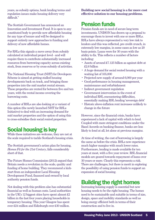years, as subsidy options, bank lending terms and regulation issues make housing delivery very difficult."

The Scottish Government has announced an Innovation and Investment Fund. It is open to any constituted body to provide new affordable housing for any type of tenure and will be designed to support entirely new approaches to funding and delivery of new affordable homes.

For RSLs this signals a move away from subsidy calculated at individual project level - and will require them to contribute substantially increased resources from borrowing capacity across existing stock, from reserves or by cross-subsidy of activities.

The National Housing Trust (NHT) for Developers Scheme is aimed at getting stalled housing developments back on track, and bringing these properties into the mid market rental stream. These properties are rented for between five and ten years, with the rental income covering the borrowing costs.

A number of RSLs are also looking at a variant of this option (the newly launched NHT for RSLs Initiative) to deal with an increasing demand for mid market properties and the option of using this to cross-subsidise their social rented properties.

## Social housing is key

While these initiatives are welcome, they are not at the scale required to tackle Scotland's housing crisis.

The Scottish government's action plan for housing, *Homes Fit for the 21st Century*, falls considerably short of that.

The Future Homes Commission (2012) argued that Britain needs a revolution in the scale, quality and funding of home building. They recommend a kickstart from an independent Local Housing Development Fund, financed and owned by local authority pension funds.

Not dealing with this problem also has substantial financial as well as human costs. Local authorities in the UK's 12 biggest cities have spent almost  $\pounds 2$ billion in the last four years placing households in temporary housing. This year Glasgow has spent over £24 million and Edinburgh over £30 million.

**Building new social housing is a far more cost effective solution to our housing problems.** 

## Pension funds

Pension funds are in need of secure long term investments. UNISON has drawn up a proposal to encourage them to invest with one or more RSLs. RSLs have always represented a very low risk to lenders and this was reflected, pre credit crunch, in extremely low margins, in some cases as low as 20 basis points. Loans were for 30 years with the ability to fix. This reflects a number of factors including:

- Assets of around £7.125 billion as against debt at £2.6 billion
- A huge demand for social rented housing with a waiting list of 335,000
- Projected new supply of around 6,000 per year
- Good performance in housing management, maintenance and refurbishment
- Indirect government regulation
- Government intervention in the event of individual RSL encountering difficulties, essentially making RSL lending 'sovereign debt'
- Historic above-inflation rent increases unlikely to change in the future

However, since the financial crisis, banks have experienced a lack of capital with which to lend. Coupled with more stringent conditions under the Basel Accords on banking finance, banks are less likely to lend at all, let alone at previous margins.

At time of writing, the cost of borrowing is largely the same as before the crisis. RSLs now experience much higher margins with much lower rates. Furthermore, lending is made available for ten years at most, with a five year review. RSL financial models are geared towards repayment of loans over 30 years or more. Clearly this represents a risk. There are challenges, but there is merit in exploring the possibility of using pension funds to support an expansion of social housing.

# Building the right homes

Increasing housing supply is essential but new housing needs to be the right housing. The homes need to be sustainable and suitable in terms of size, design, space and mobility standards as well as being energy efficient both in terms of their construction and to live in.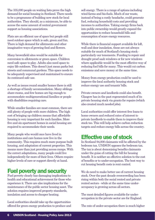The 335,000 people on waiting lists prove the high demand for social housing in Scotland. There needs to be a programme of building new stock for local authorities. They should, as a minimum, be able to access the same amount of central government support as housing associations.

Flats are an efficient use of space but people still need outdoor space which is safe, green and fun. There is high demand for allotments and other imaginative ways of growing food and flowers.

Many brownfield sites would be suitable for conversion to allotments or green space. Children need safe space to play. Adults also need space to enjoy life outdoors. This doesn't just mean parks but streets and communal gardens. This space needs to be adequately supervised and maintained to ensure its continued safe use.

As well as issues round smaller homes there is still a shortage of family accommodation. Many siblings share rooms, and few homes are big enough to accommodate multigenerational families or people with disabilities requiring care.

While smaller families are most common, there are still plenty of people with more children. The high cost of bringing up children means that affordable housing is very important for such families. More five and six apartment homes in social housing are required to accommodate their needs.

Many people who would once have lived in institutions and care homes now live in the community. This requires much more purpose built housing, and adaptation of current properties. This means more than just providing access ramps. With the correct adaptations, many people could live independently for more of their lives. Others require higher levels of care or support directly at hand.

#### Fuel poverty and security

Fuel poverty clearly has damaging implications to health and educational achievement for those who experience it. There are also implications for the maintenance of the public sector housing asset. The solution requires improved property standards, insulation and access to cheaper heating.

Local authorities should take up the opportunities offered for green energy production to produce and sell energy. There is a range of options including wind farms and bio-fuels. Much of our waste, instead of being a costly headache, could generate fuel, reducing household costs and providing incomes to authorities. Taking energy firms back into public ownership would greatly expand the opportunities to reduce household bills and consumption of scare energy resources.

While there is financial support available for loft, wall and door insulation, these are not always suitable for much of Scotland's housing stock particularly our tenements. Funding to repair and draught proof sash windows or for new windows where applicable would be the most effective way of reducing fuel bills for many. This would cut carbon emissions and save money at the same time.

Money from energy production could be used to improve the local authority housing stock and reduce energy use and tenants' bills.

Private owners and landlords could also benefit. Glasgow has in the past regenerated much of its private housing stock via grants for repairs (which also created much needed jobs).

Local authorities could offer interest free loans to home owners and reduced rates of interest to private landlords to enable them to improve their stock too. This will help achieve carbon reduction targets and reduce energy bills across the country.

#### Effective use of stock

In Scotland 94,000 claimants will be affected by the bedroom tax. UNISON opposes the bedroom tax. The tax is about demonising benefits claimants under the guise of cutting the bill for housing benefit. It is neither an effective solution to the cost of benefits or to under-occupation. The best way to cut housing benefit costs is rent control.

We do need to make better use of current housing stock. Over the past decade overcrowding has been rising within both the social rented and private rented sectors - while at the same time underoccupancy is growing across all sectors.

The most detailed figures available for underoccupation in the private sector are for England.

The rate of under-occupation there is much higher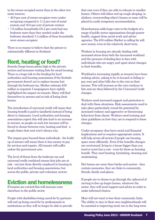in the owner-occupied sector than in the other two main tenures:

- 46.9 per cent of owner-occupiers were underoccupying compared to 11.2 per cent of social renters and 16.0 per cent of private renters
- 7.6 million households (35.4 per cent) had one bedroom more than they needed under the bedroom standard; 5.4 million of these households were owner-occupiers

There is no reason to believe that the picture is substantially different in Scotland.

# Rent, heating or food?

Scarcity keeps house prices high in the private sectors and increases waiting lists for social housing. There is a huge risk to the funding for local authorities and housing associations if the Scottish government doesn't act to replace income lost through the bedroom tax. Shelter estimate £50 million is required. Campaigners have rightly highlighted the impact on tenants. Many will find themselves in arrears and at risk of losing their homes.

The introduction of universal credit will mean that housing benefit is paid to landlords instead of being direct to claimants. Local authorities and housing associations expect this will also lead to an increase in arrears, as people on such low incomes will be forced to choose between rent, heating and food - a tough choice that rent won't always win.

The impact goes beyond those individuals - the build up of arrears will mean there is less money to pay for services and repairs. All tenants will suffer unless the government acts.

The level of threat from the bedroom tax and universal credit combined means that jobs are at risk - not just those directly employed in housing in local authorities and housing associations, but across the public, private and voluntary sectors.

# Eviction and homelessness

If tenants are evicted this will increase costs elsewhere in the public sector.

People with disabilities being cared for by partners will end up being cared for by professionals in institutions as they will no longer be able to provide that care even if they are able to relocate to smaller homes. Others will either end up rough sleeping, in shelters, overcrowding other's homes or some will be placed in costly temporary accommodation.

Homelessness adds huge costs to the budgets of a range of public sector organisations though poorer health, support from social work and advice agencies. The £50 million Shelter is calling for will save money even in the relatively short term.

Workers in housing are already dealing with increased stress from both the increased workload and the pressure of dealing face to face with individuals who are angry and upset about changes to their benefits.

Workload is increasing rapidly as tenants have been seeking advice, asking to be re-housed or failing to pay rent and other bills due to the cuts in their income. This will increase as the cuts continue to bite and are then followed by the Universal Credit changes.

Workers need increased support and protection to deal with these situations. Risk assessments need to take place particularly round the potential for increased violence and aggressive or threatening behaviour from clients. Workers need training and clear guidelines on how they are to respond to these changes.

Under-occupancy does have social and financial implications and so requires appropriate action. It will help across all sectors if people use housing space more efficiently. Even if the benefits changes are overturned, living in a house bigger than you need or want has a cost - even for those on housing benefit. They need heating, furnishing, cleaning and maintaining.

But homes are more than bricks and mortar - they contain memories, they are links to community, friends, family and places.

If people are to choose to go through the upheaval of moving to free up larger homes, whatever the sector, they will need support and advice in order to make informed choices.

Most will not want to lose their community links. The ability to stay in their own neighbourhoods will be essential to improving stock use in the long term.